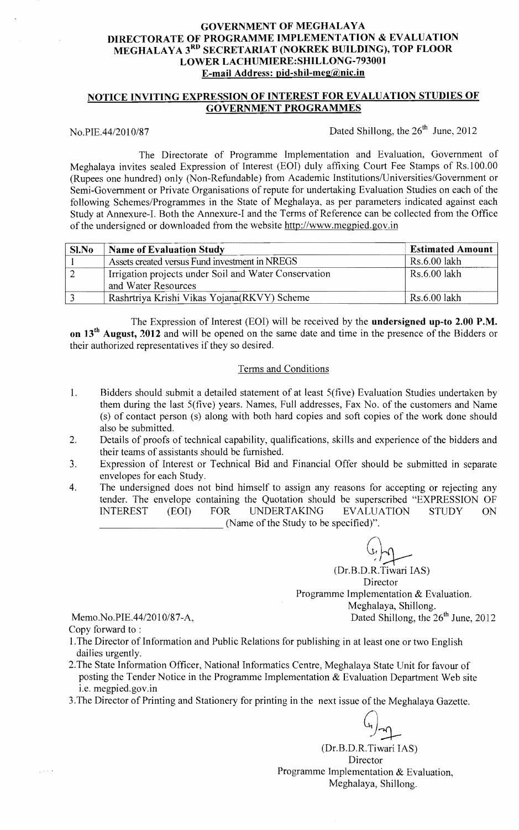# GOVERNMENT OF MEGHALAYA DIRECTORATE OF PROGRAMME IMPLEMENTATION & EVALUATION MEGHALAYA 3<sup>RD</sup> SECRETARIAT (NOKREK BUILDING), TOP FLOOR LOWER LACHUMIERE:SHILLONG-793001 E-mail Address: pid-shil-meg@nic.in

# NOTICE INVITING EXPRESSION OF INTEREST FOR EVALUATION STUDIES OF GOVERNMENT PROGRAMMES

No.PIE.44/2010/87 Dated Shillong, the  $26<sup>th</sup>$  June, 2012

The Directorate of Programme Implementation and Evaluation, Government of Meghalaya invites sealed Expression of Interest (EOI) duly affixing Court Fee Stamps of Rs.1 00.00 (Rupees one hundred) only (Non-Refundable) from Academic Institutions/Universities/Government or Semi-Government or Private Organisations of repute for undertaking Evaluation Studies on each of the following Schemes/Programmes in the State of Meghalaya, as per parameters indicated against each Study at Annexure-I. Both the Annexure-I and the Terms of Reference can be collected from the Office of the undersigned or downloaded from the website http://www.megpied.gov.in

| $Sl$ . No | <b>Name of Evaluation Study</b>                       | <b>Estimated Amount</b> |
|-----------|-------------------------------------------------------|-------------------------|
|           | Assets created versus Fund investment in NREGS        | Rs.6.00 lakh            |
|           | Irrigation projects under Soil and Water Conservation | Rs.6.00 lakh            |
|           | and Water Resources                                   |                         |
|           | Rashrtriya Krishi Vikas Yojana (RKVY) Scheme          | - Rs.6.00 lakh          |

The Expression of Interest (EOI) will be received by the undersigned up-to 2.00 P.M. on 13<sup>th</sup> August, 2012 and will be opened on the same date and time in the presence of the Bidders or their authorized representatives if they so desired.

### Terms and Conditions

- 1. Bidders should submit a detailed statement of at least 5(five) Evaluation Studies undertaken by them during the last 5(five) years. Names, Full addresses, Fax No. of the customers and Name (s) of contact person (s) along with both hard copies and soft copies of the work done should also be submitted.
- 2. Details of proofs of technical capability, qualifications, skills and experience of the bidders and their teams of assistants should be furnished.
- 3. Expression of Interest or Technical Bid and Financial Offer should be submitted in separate envelopes for each Study.
- 4. The undersigned does not bind himself to assign any reasons for accepting or rejecting any tender. The envelope containing the Quotation should be superscribed "EXPRESSION OF INTEREST (EOI) FOR UNDERTAKING EVALUATION STUDY ON (Name of the Study to be specified)".

(Dr.B.D.R.Tiwari IAS) Director Programme Implementation & Evaluation. Meghalaya, Shillong. Memo.No.PIE.44/2010/87-A, Dated Shillong, the  $26<sup>th</sup>$  June, 2012

Copy forward to :

 $\frac{1}{2}$  ,  $\frac{1}{2}$  ,  $\frac{1}{2}$ 

- 1.The Director of Information and Public Relations for publishing in at least one or two English dailies urgently.
- 2.The State Information Officer, National Informatics Centre, Meghalaya State Unit for favour of posting the Tender Notice in the Programme Implementation & Evaluation Department Web site i.e. megpied.gov.in
- 3.The Director of Printing and Stationery for printing in the next issue of the Meghalaya Gazette.

 $\frac{G}{2}$ 

(Dr.B.D.R.Tiwari lAS) Director Programme Implementation & Evaluation, Meghalaya, Shillong.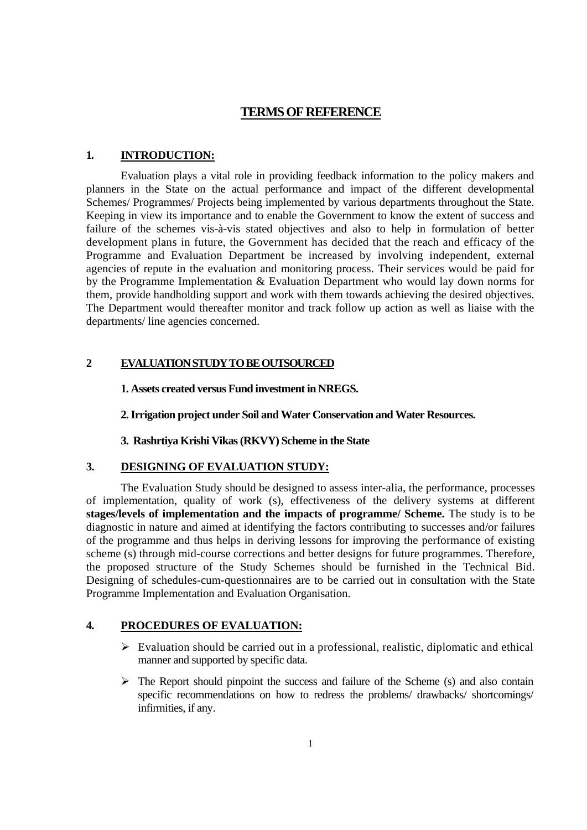# **TERMS OF REFERENCE**

#### **1. INTRODUCTION:**

 Evaluation plays a vital role in providing feedback information to the policy makers and planners in the State on the actual performance and impact of the different developmental Schemes/ Programmes/ Projects being implemented by various departments throughout the State. Keeping in view its importance and to enable the Government to know the extent of success and failure of the schemes vis-à-vis stated objectives and also to help in formulation of better development plans in future, the Government has decided that the reach and efficacy of the Programme and Evaluation Department be increased by involving independent, external agencies of repute in the evaluation and monitoring process. Their services would be paid for by the Programme Implementation & Evaluation Department who would lay down norms for them, provide handholding support and work with them towards achieving the desired objectives. The Department would thereafter monitor and track follow up action as well as liaise with the departments/ line agencies concerned.

# **2 EVALUATION STUDY TO BE OUTSOURCED**

#### **1. Assets created versus Fund investment in NREGS.**

### **2. Irrigation project under Soil and Water Conservation and Water Resources.**

# **3. Rashrtiya Krishi Vikas (RKVY) Scheme in the State**

#### **3. DESIGNING OF EVALUATION STUDY:**

 The Evaluation Study should be designed to assess inter-alia, the performance, processes of implementation, quality of work (s), effectiveness of the delivery systems at different **stages/levels of implementation and the impacts of programme/ Scheme.** The study is to be diagnostic in nature and aimed at identifying the factors contributing to successes and/or failures of the programme and thus helps in deriving lessons for improving the performance of existing scheme (s) through mid-course corrections and better designs for future programmes. Therefore, the proposed structure of the Study Schemes should be furnished in the Technical Bid. Designing of schedules-cum-questionnaires are to be carried out in consultation with the State Programme Implementation and Evaluation Organisation.

# **4. PROCEDURES OF EVALUATION:**

- $\triangleright$  Evaluation should be carried out in a professional, realistic, diplomatic and ethical manner and supported by specific data.
- $\triangleright$  The Report should pinpoint the success and failure of the Scheme (s) and also contain specific recommendations on how to redress the problems/ drawbacks/ shortcomings/ infirmities, if any.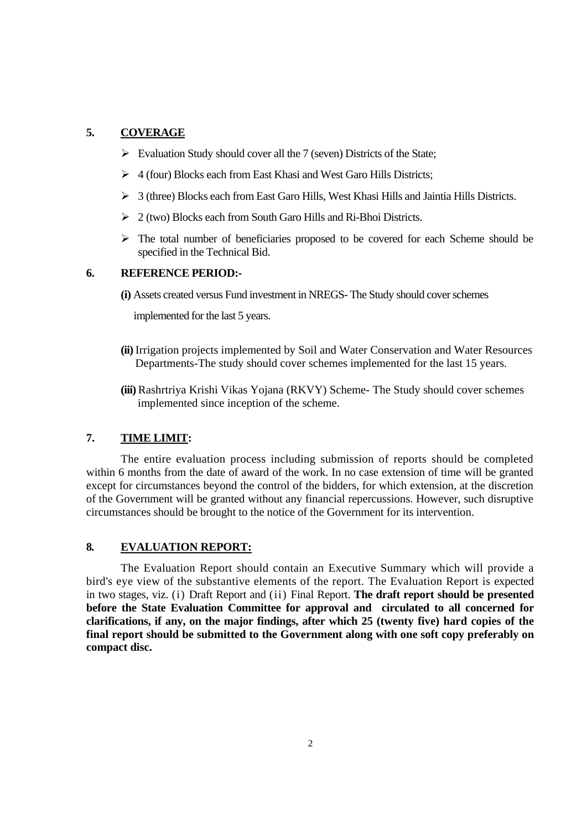# **5. COVERAGE**

- $\triangleright$  Evaluation Study should cover all the 7 (seven) Districts of the State;
- $\triangleright$  4 (four) Blocks each from East Khasi and West Garo Hills Districts;
- $\triangleright$  3 (three) Blocks each from East Garo Hills, West Khasi Hills and Jaintia Hills Districts.
- $\geq 2$  (two) Blocks each from South Garo Hills and Ri-Bhoi Districts.
- $\triangleright$  The total number of beneficiaries proposed to be covered for each Scheme should be specified in the Technical Bid.

### **6. REFERENCE PERIOD:-**

**(i)** Assets created versus Fund investment in NREGS- The Study should cover schemes

implemented for the last 5 years.

- **(ii)** Irrigation projects implemented by Soil and Water Conservation and Water Resources Departments-The study should cover schemes implemented for the last 15 years.
- **(iii)** Rashrtriya Krishi Vikas Yojana (RKVY) Scheme- The Study should cover schemes implemented since inception of the scheme.

# **7. TIME LIMIT:**

 The entire evaluation process including submission of reports should be completed within 6 months from the date of award of the work. In no case extension of time will be granted except for circumstances beyond the control of the bidders, for which extension, at the discretion of the Government will be granted without any financial repercussions. However, such disruptive circumstances should be brought to the notice of the Government for its intervention.

# **8. EVALUATION REPORT:**

 The Evaluation Report should contain an Executive Summary which will provide a bird's eye view of the substantive elements of the report. The Evaluation Report is expected in two stages, viz. (i) Draft Report and (ii) Final Report. **The draft report should be presented before the State Evaluation Committee for approval and circulated to all concerned for clarifications, if any, on the major findings, after which 25 (twenty five) hard copies of the final report should be submitted to the Government along with one soft copy preferably on compact disc.**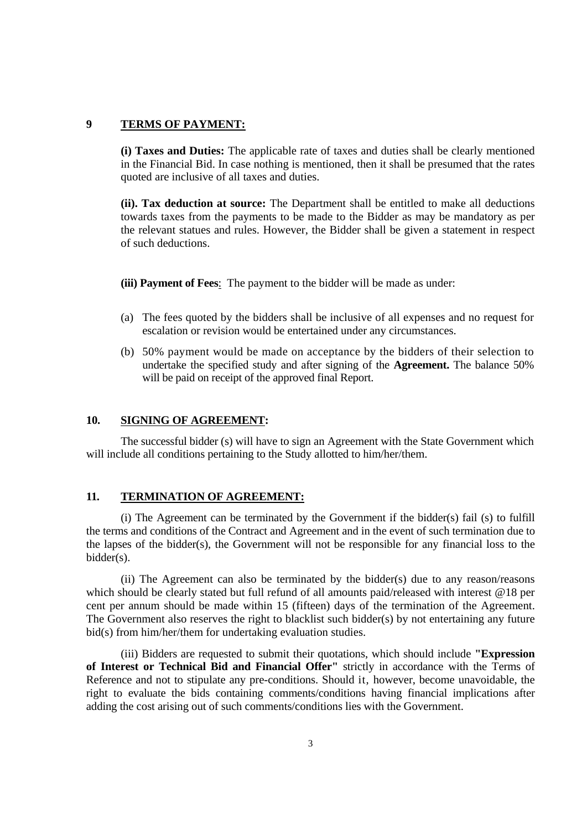# **9 TERMS OF PAYMENT:**

**(i) Taxes and Duties:** The applicable rate of taxes and duties shall be clearly mentioned in the Financial Bid. In case nothing is mentioned, then it shall be presumed that the rates quoted are inclusive of all taxes and duties.

**(ii). Tax deduction at source:** The Department shall be entitled to make all deductions towards taxes from the payments to be made to the Bidder as may be mandatory as per the relevant statues and rules. However, the Bidder shall be given a statement in respect of such deductions.

**(iii) Payment of Fees**: The payment to the bidder will be made as under:

- (a) The fees quoted by the bidders shall be inclusive of all expenses and no request for escalation or revision would be entertained under any circumstances.
- (b) 50% payment would be made on acceptance by the bidders of their selection to undertake the specified study and after signing of the **Agreement.** The balance 50% will be paid on receipt of the approved final Report.

#### **10. SIGNING OF AGREEMENT:**

The successful bidder (s) will have to sign an Agreement with the State Government which will include all conditions pertaining to the Study allotted to him/her/them.

#### **11. TERMINATION OF AGREEMENT:**

 (i) The Agreement can be terminated by the Government if the bidder(s) fail (s) to fulfill the terms and conditions of the Contract and Agreement and in the event of such termination due to the lapses of the bidder(s), the Government will not be responsible for any financial loss to the bidder(s).

 (ii) The Agreement can also be terminated by the bidder(s) due to any reason/reasons which should be clearly stated but full refund of all amounts paid/released with interest @18 per cent per annum should be made within 15 (fifteen) days of the termination of the Agreement. The Government also reserves the right to blacklist such bidder(s) by not entertaining any future bid(s) from him/her/them for undertaking evaluation studies.

 (iii) Bidders are requested to submit their quotations, which should include **"Expression of Interest or Technical Bid and Financial Offer"** strictly in accordance with the Terms of Reference and not to stipulate any pre-conditions. Should it, however, become unavoidable, the right to evaluate the bids containing comments/conditions having financial implications after adding the cost arising out of such comments/conditions lies with the Government.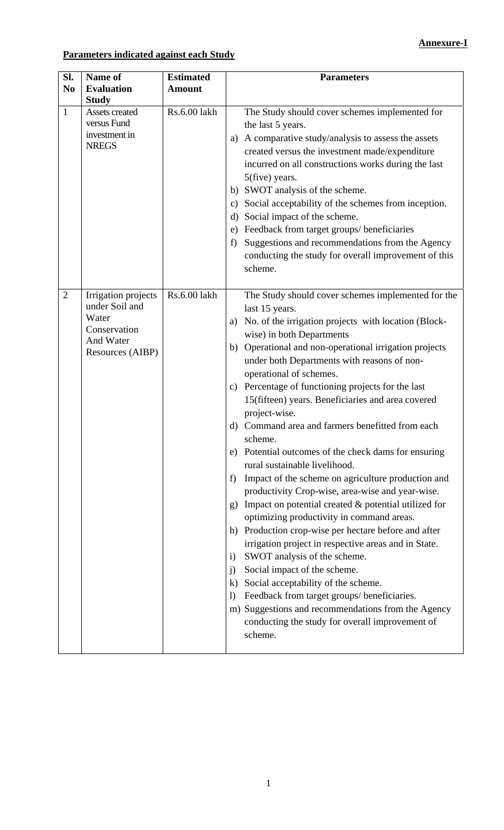# **Parameters indicated against each Study**

| Sl.<br>N <sub>0</sub> | Name of<br><b>Evaluation</b>                                                                    | <b>Estimated</b><br><b>Amount</b> | <b>Parameters</b>                                                                                                                                                                                                                                                                                                                                                                                                                                                                                                                                                                                                                                                                                                                                                                                                                                                                                                                                                                                                                                                                                                                                                                                                                                                                                                  |
|-----------------------|-------------------------------------------------------------------------------------------------|-----------------------------------|--------------------------------------------------------------------------------------------------------------------------------------------------------------------------------------------------------------------------------------------------------------------------------------------------------------------------------------------------------------------------------------------------------------------------------------------------------------------------------------------------------------------------------------------------------------------------------------------------------------------------------------------------------------------------------------------------------------------------------------------------------------------------------------------------------------------------------------------------------------------------------------------------------------------------------------------------------------------------------------------------------------------------------------------------------------------------------------------------------------------------------------------------------------------------------------------------------------------------------------------------------------------------------------------------------------------|
| $\mathbf{1}$          | <b>Study</b><br>Assets created<br>versus Fund<br>investment in<br><b>NREGS</b>                  | Rs.6.00 lakh                      | The Study should cover schemes implemented for<br>the last 5 years.<br>A comparative study/analysis to assess the assets<br>a)<br>created versus the investment made/expenditure<br>incurred on all constructions works during the last<br>5(five) years.<br>b) SWOT analysis of the scheme.<br>Social acceptability of the schemes from inception.<br>$\mathbf{c})$<br>Social impact of the scheme.<br>d)<br>Feedback from target groups/ beneficiaries<br>e)<br>Suggestions and recommendations from the Agency<br>f)<br>conducting the study for overall improvement of this<br>scheme.                                                                                                                                                                                                                                                                                                                                                                                                                                                                                                                                                                                                                                                                                                                         |
| $\overline{2}$        | Irrigation projects<br>under Soil and<br>Water<br>Conservation<br>And Water<br>Resources (AIBP) | Rs.6.00 lakh                      | The Study should cover schemes implemented for the<br>last 15 years.<br>No. of the irrigation projects with location (Block-<br>a)<br>wise) in both Departments<br>Operational and non-operational irrigation projects<br>b)<br>under both Departments with reasons of non-<br>operational of schemes.<br>Percentage of functioning projects for the last<br>$\mathbf{c})$<br>15(fifteen) years. Beneficiaries and area covered<br>project-wise.<br>Command area and farmers benefitted from each<br>d)<br>scheme.<br>Potential outcomes of the check dams for ensuring<br>e)<br>rural sustainable livelihood.<br>Impact of the scheme on agriculture production and<br>f)<br>productivity Crop-wise, area-wise and year-wise.<br>Impact on potential created $\&$ potential utilized for<br>$\mathbf{g}$<br>optimizing productivity in command areas.<br>Production crop-wise per hectare before and after<br>h)<br>irrigation project in respective areas and in State.<br>SWOT analysis of the scheme.<br>$\mathbf{i}$<br>Social impact of the scheme.<br>$\mathbf{j}$<br>Social acceptability of the scheme.<br>$\bf k$<br>Feedback from target groups/ beneficiaries.<br>$\left( \right)$<br>m) Suggestions and recommendations from the Agency<br>conducting the study for overall improvement of<br>scheme. |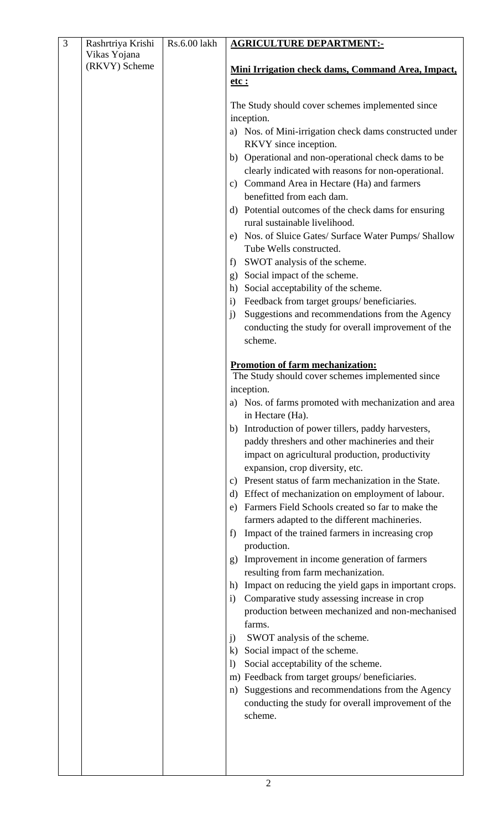| 3 | Rashrtriya Krishi             | Rs.6.00 lakh | <b>AGRICULTURE DEPARTMENT:-</b>                                                                                                                                                                                                                                                                                                                                                                                                                                                                                                                                                                                                                                                                                                                                                                                                                                                                                                                                                                                                                                                                                                                                                                                                                                                                                                                                                                                                                                                                                                                                                                    |  |
|---|-------------------------------|--------------|----------------------------------------------------------------------------------------------------------------------------------------------------------------------------------------------------------------------------------------------------------------------------------------------------------------------------------------------------------------------------------------------------------------------------------------------------------------------------------------------------------------------------------------------------------------------------------------------------------------------------------------------------------------------------------------------------------------------------------------------------------------------------------------------------------------------------------------------------------------------------------------------------------------------------------------------------------------------------------------------------------------------------------------------------------------------------------------------------------------------------------------------------------------------------------------------------------------------------------------------------------------------------------------------------------------------------------------------------------------------------------------------------------------------------------------------------------------------------------------------------------------------------------------------------------------------------------------------------|--|
|   |                               |              |                                                                                                                                                                                                                                                                                                                                                                                                                                                                                                                                                                                                                                                                                                                                                                                                                                                                                                                                                                                                                                                                                                                                                                                                                                                                                                                                                                                                                                                                                                                                                                                                    |  |
|   |                               |              |                                                                                                                                                                                                                                                                                                                                                                                                                                                                                                                                                                                                                                                                                                                                                                                                                                                                                                                                                                                                                                                                                                                                                                                                                                                                                                                                                                                                                                                                                                                                                                                                    |  |
|   |                               |              |                                                                                                                                                                                                                                                                                                                                                                                                                                                                                                                                                                                                                                                                                                                                                                                                                                                                                                                                                                                                                                                                                                                                                                                                                                                                                                                                                                                                                                                                                                                                                                                                    |  |
|   | Vikas Yojana<br>(RKVY) Scheme |              | Mini Irrigation check dams, Command Area, Impact,<br><u>etc :</u><br>The Study should cover schemes implemented since<br>inception.<br>a) Nos. of Mini-irrigation check dams constructed under<br>RKVY since inception.<br>b) Operational and non-operational check dams to be<br>clearly indicated with reasons for non-operational.<br>c) Command Area in Hectare (Ha) and farmers<br>benefitted from each dam.<br>d) Potential outcomes of the check dams for ensuring<br>rural sustainable livelihood.<br>e) Nos. of Sluice Gates/ Surface Water Pumps/ Shallow<br>Tube Wells constructed.<br>SWOT analysis of the scheme.<br>f)<br>Social impact of the scheme.<br>g)<br>Social acceptability of the scheme.<br>h)<br>Feedback from target groups/ beneficiaries.<br>$\mathbf{i}$<br>Suggestions and recommendations from the Agency<br>j)<br>conducting the study for overall improvement of the<br>scheme.<br>Promotion of farm mechanization:<br>The Study should cover schemes implemented since<br>inception.<br>a) Nos. of farms promoted with mechanization and area<br>in Hectare (Ha).<br>Introduction of power tillers, paddy harvesters,<br>b)<br>paddy threshers and other machineries and their<br>impact on agricultural production, productivity<br>expansion, crop diversity, etc.<br>Present status of farm mechanization in the State.<br>c)<br>Effect of mechanization on employment of labour.<br>d)<br>Farmers Field Schools created so far to make the<br>e)<br>farmers adapted to the different machineries.<br>Impact of the trained farmers in increasing crop<br>f) |  |
|   |                               |              |                                                                                                                                                                                                                                                                                                                                                                                                                                                                                                                                                                                                                                                                                                                                                                                                                                                                                                                                                                                                                                                                                                                                                                                                                                                                                                                                                                                                                                                                                                                                                                                                    |  |
|   |                               |              |                                                                                                                                                                                                                                                                                                                                                                                                                                                                                                                                                                                                                                                                                                                                                                                                                                                                                                                                                                                                                                                                                                                                                                                                                                                                                                                                                                                                                                                                                                                                                                                                    |  |
|   |                               |              |                                                                                                                                                                                                                                                                                                                                                                                                                                                                                                                                                                                                                                                                                                                                                                                                                                                                                                                                                                                                                                                                                                                                                                                                                                                                                                                                                                                                                                                                                                                                                                                                    |  |
|   |                               |              |                                                                                                                                                                                                                                                                                                                                                                                                                                                                                                                                                                                                                                                                                                                                                                                                                                                                                                                                                                                                                                                                                                                                                                                                                                                                                                                                                                                                                                                                                                                                                                                                    |  |
|   |                               |              |                                                                                                                                                                                                                                                                                                                                                                                                                                                                                                                                                                                                                                                                                                                                                                                                                                                                                                                                                                                                                                                                                                                                                                                                                                                                                                                                                                                                                                                                                                                                                                                                    |  |
|   |                               |              |                                                                                                                                                                                                                                                                                                                                                                                                                                                                                                                                                                                                                                                                                                                                                                                                                                                                                                                                                                                                                                                                                                                                                                                                                                                                                                                                                                                                                                                                                                                                                                                                    |  |
|   |                               |              |                                                                                                                                                                                                                                                                                                                                                                                                                                                                                                                                                                                                                                                                                                                                                                                                                                                                                                                                                                                                                                                                                                                                                                                                                                                                                                                                                                                                                                                                                                                                                                                                    |  |
|   |                               |              |                                                                                                                                                                                                                                                                                                                                                                                                                                                                                                                                                                                                                                                                                                                                                                                                                                                                                                                                                                                                                                                                                                                                                                                                                                                                                                                                                                                                                                                                                                                                                                                                    |  |
|   |                               |              |                                                                                                                                                                                                                                                                                                                                                                                                                                                                                                                                                                                                                                                                                                                                                                                                                                                                                                                                                                                                                                                                                                                                                                                                                                                                                                                                                                                                                                                                                                                                                                                                    |  |
|   |                               |              |                                                                                                                                                                                                                                                                                                                                                                                                                                                                                                                                                                                                                                                                                                                                                                                                                                                                                                                                                                                                                                                                                                                                                                                                                                                                                                                                                                                                                                                                                                                                                                                                    |  |
|   |                               |              |                                                                                                                                                                                                                                                                                                                                                                                                                                                                                                                                                                                                                                                                                                                                                                                                                                                                                                                                                                                                                                                                                                                                                                                                                                                                                                                                                                                                                                                                                                                                                                                                    |  |
|   |                               |              | production.                                                                                                                                                                                                                                                                                                                                                                                                                                                                                                                                                                                                                                                                                                                                                                                                                                                                                                                                                                                                                                                                                                                                                                                                                                                                                                                                                                                                                                                                                                                                                                                        |  |
|   |                               |              | Improvement in income generation of farmers<br>g)                                                                                                                                                                                                                                                                                                                                                                                                                                                                                                                                                                                                                                                                                                                                                                                                                                                                                                                                                                                                                                                                                                                                                                                                                                                                                                                                                                                                                                                                                                                                                  |  |
|   |                               |              | resulting from farm mechanization.<br>Impact on reducing the yield gaps in important crops.<br>h)                                                                                                                                                                                                                                                                                                                                                                                                                                                                                                                                                                                                                                                                                                                                                                                                                                                                                                                                                                                                                                                                                                                                                                                                                                                                                                                                                                                                                                                                                                  |  |
|   |                               |              | Comparative study assessing increase in crop<br>$\mathbf{i}$                                                                                                                                                                                                                                                                                                                                                                                                                                                                                                                                                                                                                                                                                                                                                                                                                                                                                                                                                                                                                                                                                                                                                                                                                                                                                                                                                                                                                                                                                                                                       |  |
|   |                               |              | production between mechanized and non-mechanised                                                                                                                                                                                                                                                                                                                                                                                                                                                                                                                                                                                                                                                                                                                                                                                                                                                                                                                                                                                                                                                                                                                                                                                                                                                                                                                                                                                                                                                                                                                                                   |  |
|   |                               |              | farms.                                                                                                                                                                                                                                                                                                                                                                                                                                                                                                                                                                                                                                                                                                                                                                                                                                                                                                                                                                                                                                                                                                                                                                                                                                                                                                                                                                                                                                                                                                                                                                                             |  |
|   |                               |              | SWOT analysis of the scheme.<br>j)                                                                                                                                                                                                                                                                                                                                                                                                                                                                                                                                                                                                                                                                                                                                                                                                                                                                                                                                                                                                                                                                                                                                                                                                                                                                                                                                                                                                                                                                                                                                                                 |  |
|   |                               |              | Social impact of the scheme.<br>$\bf k)$<br>Social acceptability of the scheme.<br>$\bf{D}$                                                                                                                                                                                                                                                                                                                                                                                                                                                                                                                                                                                                                                                                                                                                                                                                                                                                                                                                                                                                                                                                                                                                                                                                                                                                                                                                                                                                                                                                                                        |  |
|   |                               |              | m) Feedback from target groups/ beneficiaries.                                                                                                                                                                                                                                                                                                                                                                                                                                                                                                                                                                                                                                                                                                                                                                                                                                                                                                                                                                                                                                                                                                                                                                                                                                                                                                                                                                                                                                                                                                                                                     |  |
|   |                               |              | Suggestions and recommendations from the Agency<br>n)                                                                                                                                                                                                                                                                                                                                                                                                                                                                                                                                                                                                                                                                                                                                                                                                                                                                                                                                                                                                                                                                                                                                                                                                                                                                                                                                                                                                                                                                                                                                              |  |
|   |                               |              | conducting the study for overall improvement of the                                                                                                                                                                                                                                                                                                                                                                                                                                                                                                                                                                                                                                                                                                                                                                                                                                                                                                                                                                                                                                                                                                                                                                                                                                                                                                                                                                                                                                                                                                                                                |  |
|   |                               |              | scheme.                                                                                                                                                                                                                                                                                                                                                                                                                                                                                                                                                                                                                                                                                                                                                                                                                                                                                                                                                                                                                                                                                                                                                                                                                                                                                                                                                                                                                                                                                                                                                                                            |  |
|   |                               |              |                                                                                                                                                                                                                                                                                                                                                                                                                                                                                                                                                                                                                                                                                                                                                                                                                                                                                                                                                                                                                                                                                                                                                                                                                                                                                                                                                                                                                                                                                                                                                                                                    |  |
|   |                               |              |                                                                                                                                                                                                                                                                                                                                                                                                                                                                                                                                                                                                                                                                                                                                                                                                                                                                                                                                                                                                                                                                                                                                                                                                                                                                                                                                                                                                                                                                                                                                                                                                    |  |
|   |                               |              |                                                                                                                                                                                                                                                                                                                                                                                                                                                                                                                                                                                                                                                                                                                                                                                                                                                                                                                                                                                                                                                                                                                                                                                                                                                                                                                                                                                                                                                                                                                                                                                                    |  |

 $\overline{\mathsf{L}}$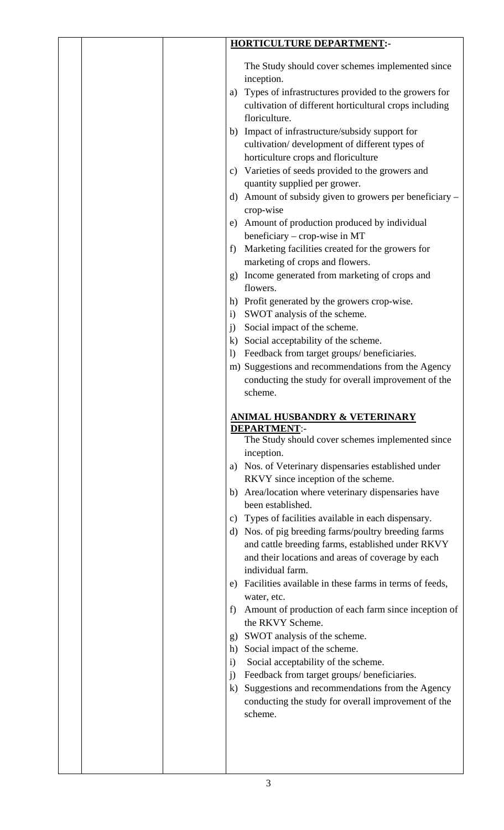|  |                                                                                      | <b>HORTICULTURE DEPARTMENT:-</b>                                                                                                                                                                                                                                                                                                                                                                                                                                                                                                                                                                                                                                                                                                                                                                                                                                                                                                                                                                                                                                                                                                                                                                                                                                                                                                                                                                                                               |
|--|--------------------------------------------------------------------------------------|------------------------------------------------------------------------------------------------------------------------------------------------------------------------------------------------------------------------------------------------------------------------------------------------------------------------------------------------------------------------------------------------------------------------------------------------------------------------------------------------------------------------------------------------------------------------------------------------------------------------------------------------------------------------------------------------------------------------------------------------------------------------------------------------------------------------------------------------------------------------------------------------------------------------------------------------------------------------------------------------------------------------------------------------------------------------------------------------------------------------------------------------------------------------------------------------------------------------------------------------------------------------------------------------------------------------------------------------------------------------------------------------------------------------------------------------|
|  | a)<br>c)<br>d)<br>e)<br>f)<br>g)<br>$\mathbf{i}$<br>$\ddot{1}$<br>$\mathbf{I}$<br>a) | The Study should cover schemes implemented since<br>inception.<br>Types of infrastructures provided to the growers for<br>cultivation of different horticultural crops including<br>floriculture.<br>b) Impact of infrastructure/subsidy support for<br>cultivation/development of different types of<br>horticulture crops and floriculture<br>Varieties of seeds provided to the growers and<br>quantity supplied per grower.<br>Amount of subsidy given to growers per beneficiary –<br>crop-wise<br>Amount of production produced by individual<br>beneficiary – crop-wise in MT<br>Marketing facilities created for the growers for<br>marketing of crops and flowers.<br>Income generated from marketing of crops and<br>flowers.<br>h) Profit generated by the growers crop-wise.<br>SWOT analysis of the scheme.<br>Social impact of the scheme.<br>k) Social acceptability of the scheme.<br>Feedback from target groups/ beneficiaries.<br>m) Suggestions and recommendations from the Agency<br>conducting the study for overall improvement of the<br>scheme.<br><u>ANIMAL HUSBANDRY &amp; VETERINARY</u><br><b>DEPARTMENT:-</b><br>The Study should cover schemes implemented since<br>inception.<br>Nos. of Veterinary dispensaries established under<br>RKVY since inception of the scheme.<br>b) Area/location where veterinary dispensaries have<br>been established.<br>c) Types of facilities available in each dispensary. |
|  |                                                                                      |                                                                                                                                                                                                                                                                                                                                                                                                                                                                                                                                                                                                                                                                                                                                                                                                                                                                                                                                                                                                                                                                                                                                                                                                                                                                                                                                                                                                                                                |
|  |                                                                                      |                                                                                                                                                                                                                                                                                                                                                                                                                                                                                                                                                                                                                                                                                                                                                                                                                                                                                                                                                                                                                                                                                                                                                                                                                                                                                                                                                                                                                                                |
|  |                                                                                      |                                                                                                                                                                                                                                                                                                                                                                                                                                                                                                                                                                                                                                                                                                                                                                                                                                                                                                                                                                                                                                                                                                                                                                                                                                                                                                                                                                                                                                                |
|  |                                                                                      |                                                                                                                                                                                                                                                                                                                                                                                                                                                                                                                                                                                                                                                                                                                                                                                                                                                                                                                                                                                                                                                                                                                                                                                                                                                                                                                                                                                                                                                |
|  |                                                                                      |                                                                                                                                                                                                                                                                                                                                                                                                                                                                                                                                                                                                                                                                                                                                                                                                                                                                                                                                                                                                                                                                                                                                                                                                                                                                                                                                                                                                                                                |
|  |                                                                                      |                                                                                                                                                                                                                                                                                                                                                                                                                                                                                                                                                                                                                                                                                                                                                                                                                                                                                                                                                                                                                                                                                                                                                                                                                                                                                                                                                                                                                                                |
|  |                                                                                      |                                                                                                                                                                                                                                                                                                                                                                                                                                                                                                                                                                                                                                                                                                                                                                                                                                                                                                                                                                                                                                                                                                                                                                                                                                                                                                                                                                                                                                                |
|  |                                                                                      |                                                                                                                                                                                                                                                                                                                                                                                                                                                                                                                                                                                                                                                                                                                                                                                                                                                                                                                                                                                                                                                                                                                                                                                                                                                                                                                                                                                                                                                |
|  |                                                                                      |                                                                                                                                                                                                                                                                                                                                                                                                                                                                                                                                                                                                                                                                                                                                                                                                                                                                                                                                                                                                                                                                                                                                                                                                                                                                                                                                                                                                                                                |
|  |                                                                                      |                                                                                                                                                                                                                                                                                                                                                                                                                                                                                                                                                                                                                                                                                                                                                                                                                                                                                                                                                                                                                                                                                                                                                                                                                                                                                                                                                                                                                                                |
|  |                                                                                      |                                                                                                                                                                                                                                                                                                                                                                                                                                                                                                                                                                                                                                                                                                                                                                                                                                                                                                                                                                                                                                                                                                                                                                                                                                                                                                                                                                                                                                                |
|  |                                                                                      |                                                                                                                                                                                                                                                                                                                                                                                                                                                                                                                                                                                                                                                                                                                                                                                                                                                                                                                                                                                                                                                                                                                                                                                                                                                                                                                                                                                                                                                |
|  |                                                                                      |                                                                                                                                                                                                                                                                                                                                                                                                                                                                                                                                                                                                                                                                                                                                                                                                                                                                                                                                                                                                                                                                                                                                                                                                                                                                                                                                                                                                                                                |
|  |                                                                                      | d) Nos. of pig breeding farms/poultry breeding farms<br>and cattle breeding farms, established under RKVY<br>and their locations and areas of coverage by each<br>individual farm.                                                                                                                                                                                                                                                                                                                                                                                                                                                                                                                                                                                                                                                                                                                                                                                                                                                                                                                                                                                                                                                                                                                                                                                                                                                             |
|  | e)                                                                                   | Facilities available in these farms in terms of feeds,                                                                                                                                                                                                                                                                                                                                                                                                                                                                                                                                                                                                                                                                                                                                                                                                                                                                                                                                                                                                                                                                                                                                                                                                                                                                                                                                                                                         |
|  | f)                                                                                   | water, etc.<br>Amount of production of each farm since inception of                                                                                                                                                                                                                                                                                                                                                                                                                                                                                                                                                                                                                                                                                                                                                                                                                                                                                                                                                                                                                                                                                                                                                                                                                                                                                                                                                                            |
|  |                                                                                      | the RKVY Scheme.                                                                                                                                                                                                                                                                                                                                                                                                                                                                                                                                                                                                                                                                                                                                                                                                                                                                                                                                                                                                                                                                                                                                                                                                                                                                                                                                                                                                                               |
|  | g)                                                                                   | SWOT analysis of the scheme.                                                                                                                                                                                                                                                                                                                                                                                                                                                                                                                                                                                                                                                                                                                                                                                                                                                                                                                                                                                                                                                                                                                                                                                                                                                                                                                                                                                                                   |
|  | h)                                                                                   | Social impact of the scheme.                                                                                                                                                                                                                                                                                                                                                                                                                                                                                                                                                                                                                                                                                                                                                                                                                                                                                                                                                                                                                                                                                                                                                                                                                                                                                                                                                                                                                   |
|  | $\mathbf{i}$                                                                         | Social acceptability of the scheme.                                                                                                                                                                                                                                                                                                                                                                                                                                                                                                                                                                                                                                                                                                                                                                                                                                                                                                                                                                                                                                                                                                                                                                                                                                                                                                                                                                                                            |
|  | i)                                                                                   | Feedback from target groups/ beneficiaries.                                                                                                                                                                                                                                                                                                                                                                                                                                                                                                                                                                                                                                                                                                                                                                                                                                                                                                                                                                                                                                                                                                                                                                                                                                                                                                                                                                                                    |
|  | $\bf k)$                                                                             | Suggestions and recommendations from the Agency<br>conducting the study for overall improvement of the                                                                                                                                                                                                                                                                                                                                                                                                                                                                                                                                                                                                                                                                                                                                                                                                                                                                                                                                                                                                                                                                                                                                                                                                                                                                                                                                         |
|  |                                                                                      | scheme.                                                                                                                                                                                                                                                                                                                                                                                                                                                                                                                                                                                                                                                                                                                                                                                                                                                                                                                                                                                                                                                                                                                                                                                                                                                                                                                                                                                                                                        |
|  |                                                                                      |                                                                                                                                                                                                                                                                                                                                                                                                                                                                                                                                                                                                                                                                                                                                                                                                                                                                                                                                                                                                                                                                                                                                                                                                                                                                                                                                                                                                                                                |
|  |                                                                                      |                                                                                                                                                                                                                                                                                                                                                                                                                                                                                                                                                                                                                                                                                                                                                                                                                                                                                                                                                                                                                                                                                                                                                                                                                                                                                                                                                                                                                                                |
|  |                                                                                      |                                                                                                                                                                                                                                                                                                                                                                                                                                                                                                                                                                                                                                                                                                                                                                                                                                                                                                                                                                                                                                                                                                                                                                                                                                                                                                                                                                                                                                                |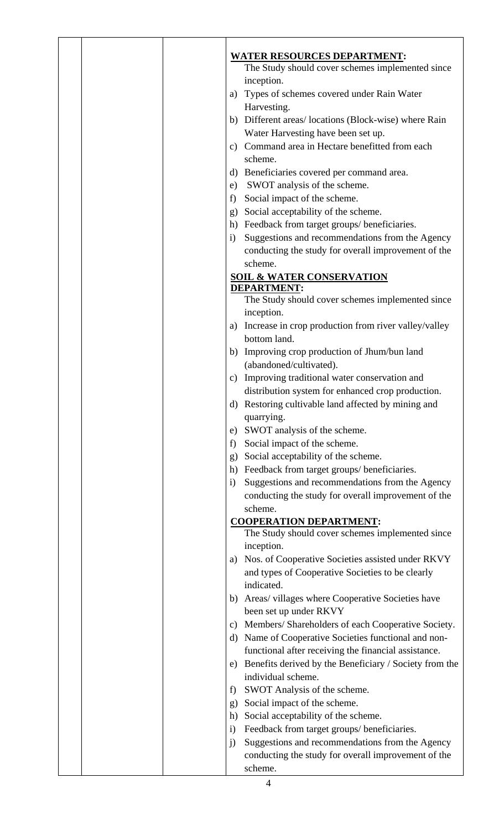|  |               | <b>WATER RESOURCES DEPARTMENT:</b>                     |
|--|---------------|--------------------------------------------------------|
|  |               | The Study should cover schemes implemented since       |
|  |               | inception.                                             |
|  | a)            | Types of schemes covered under Rain Water              |
|  |               | Harvesting.                                            |
|  |               | b) Different areas/locations (Block-wise) where Rain   |
|  |               | Water Harvesting have been set up.                     |
|  |               | c) Command area in Hectare benefitted from each        |
|  |               | scheme.                                                |
|  |               |                                                        |
|  |               | d) Beneficiaries covered per command area.             |
|  | e)            | SWOT analysis of the scheme.                           |
|  | f)            | Social impact of the scheme.                           |
|  | g)            | Social acceptability of the scheme.                    |
|  |               | h) Feedback from target groups/ beneficiaries.         |
|  | $\mathbf{i}$  | Suggestions and recommendations from the Agency        |
|  |               | conducting the study for overall improvement of the    |
|  |               | scheme.                                                |
|  |               | <b>SOIL &amp; WATER CONSERVATION</b>                   |
|  |               | <b>DEPARTMENT:</b>                                     |
|  |               | The Study should cover schemes implemented since       |
|  |               | inception.                                             |
|  | a)            | Increase in crop production from river valley/valley   |
|  |               | bottom land.                                           |
|  |               | b) Improving crop production of Jhum/bun land          |
|  |               | (abandoned/cultivated).                                |
|  | $\mathbf{c})$ | Improving traditional water conservation and           |
|  |               | distribution system for enhanced crop production.      |
|  |               | d) Restoring cultivable land affected by mining and    |
|  |               | quarrying.                                             |
|  | e)            | SWOT analysis of the scheme.                           |
|  | f)            | Social impact of the scheme.                           |
|  | g)            | Social acceptability of the scheme.                    |
|  | h)            | Feedback from target groups/ beneficiaries.            |
|  | $\mathbf{i}$  | Suggestions and recommendations from the Agency        |
|  |               | conducting the study for overall improvement of the    |
|  |               | scheme.                                                |
|  |               | <b>COOPERATION DEPARTMENT:</b>                         |
|  |               | The Study should cover schemes implemented since       |
|  |               | inception.                                             |
|  | a)            | Nos. of Cooperative Societies assisted under RKVY      |
|  |               | and types of Cooperative Societies to be clearly       |
|  |               | indicated.                                             |
|  |               | b) Areas/villages where Cooperative Societies have     |
|  |               | been set up under RKVY                                 |
|  | $\mathbf{c})$ | Members/Shareholders of each Cooperative Society.      |
|  | d)            | Name of Cooperative Societies functional and non-      |
|  |               | functional after receiving the financial assistance.   |
|  | e)            | Benefits derived by the Beneficiary / Society from the |
|  |               | individual scheme.                                     |
|  | f)            | SWOT Analysis of the scheme.                           |
|  |               | Social impact of the scheme.                           |
|  | $\mathbf{g}$  |                                                        |
|  | h)            | Social acceptability of the scheme.                    |
|  | $\mathbf{i}$  | Feedback from target groups/beneficiaries.             |
|  | $\ddot{1}$    | Suggestions and recommendations from the Agency        |
|  |               | conducting the study for overall improvement of the    |
|  |               | scheme.                                                |